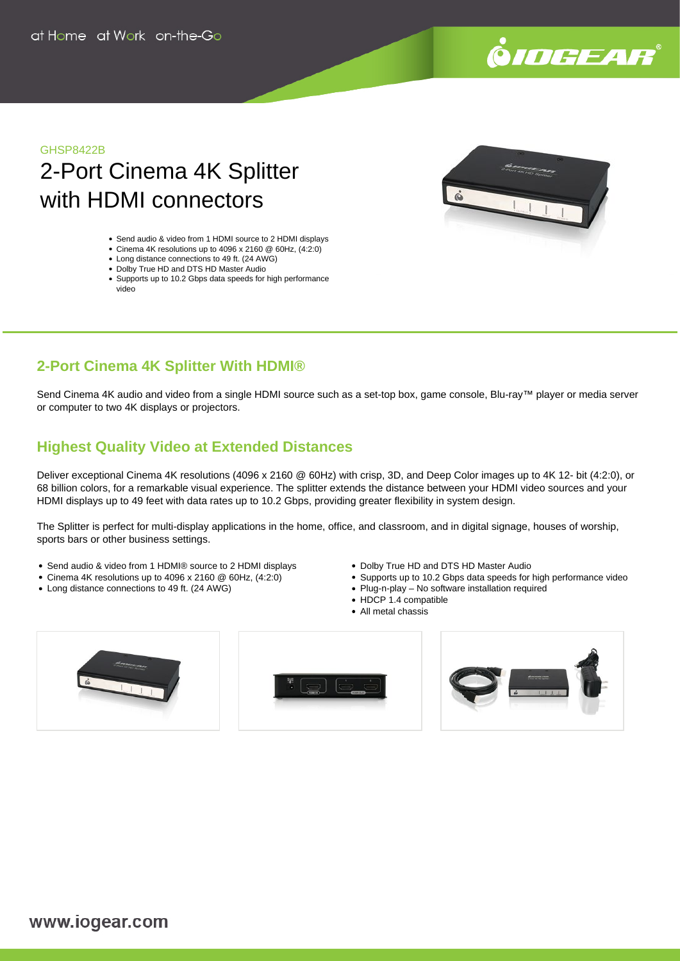

## GHSP8422B

# 2-Port Cinema 4K Splitter with HDMI connectors

- Send audio & video from 1 HDMI source to 2 HDMI displays
- Cinema 4K resolutions up to 4096 x 2160 @ 60Hz, (4:2:0)
- Long distance connections to 49 ft. (24 AWG)
- Dolby True HD and DTS HD Master Audio
- Supports up to 10.2 Gbps data speeds for high performance video

# **2-Port Cinema 4K Splitter With HDMI®**

Send Cinema 4K audio and video from a single HDMI source such as a set-top box, game console, Blu-ray™ player or media server or computer to two 4K displays or projectors.

# **Highest Quality Video at Extended Distances**

Deliver exceptional Cinema 4K resolutions (4096 x 2160 @ 60Hz) with crisp, 3D, and Deep Color images up to 4K 12- bit (4:2:0), or 68 billion colors, for a remarkable visual experience. The splitter extends the distance between your HDMI video sources and your HDMI displays up to 49 feet with data rates up to 10.2 Gbps, providing greater flexibility in system design.

The Splitter is perfect for multi-display applications in the home, office, and classroom, and in digital signage, houses of worship, sports bars or other business settings.

- Send audio & video from 1 HDMI® source to 2 HDMI displays
- Cinema 4K resolutions up to 4096 x 2160 @ 60Hz, (4:2:0)
- Long distance connections to 49 ft. (24 AWG)
- Dolby True HD and DTS HD Master Audio
- Supports up to 10.2 Gbps data speeds for high performance video
- Plug-n-play No software installation required
	- HDCP 1.4 compatible
	- All metal chassis